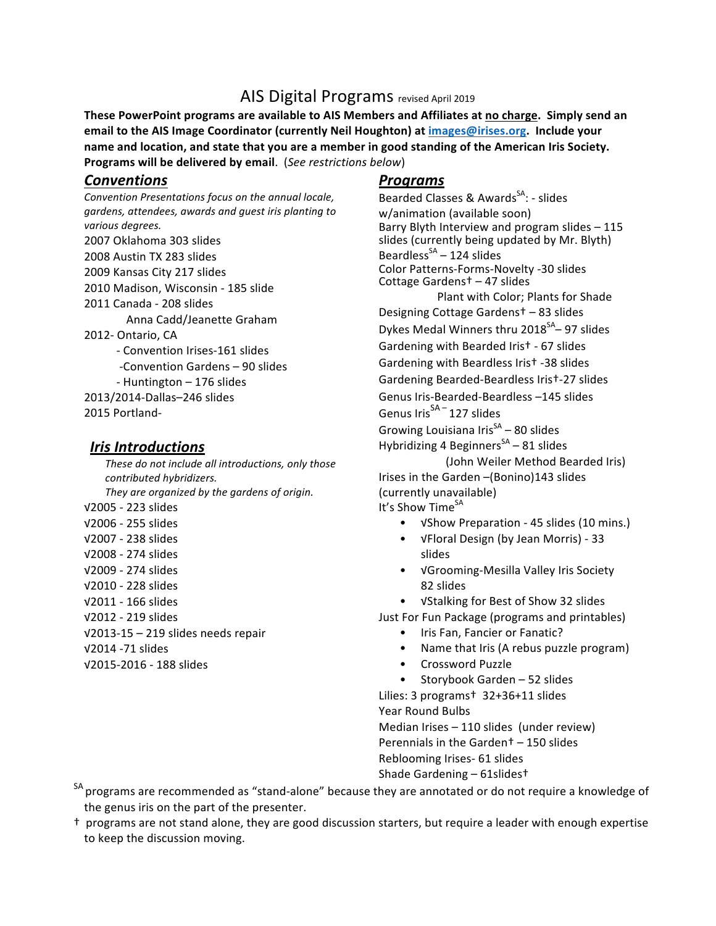## AIS Digital Programs revised April 2019

These PowerPoint programs are available to AIS Members and Affiliates at no charge. Simply send an email to the AIS Image Coordinator (currently Neil Houghton) at *images@irises.org.* Include your name and location, and state that you are a member in good standing of the American Iris Society. **Programs will be delivered by email.** (*See restrictions below*)

## *Conventions*

*Convention Presentations focus on the annual locale,*  gardens, attendees, awards and guest iris planting to *various degrees.* 2007 Oklahoma 303 slides 2008 Austin TX 283 slides 2009 Kansas City 217 slides 2010 Madison, Wisconsin - 185 slide 2011 Canada - 208 slides Anna Cadd/Jeanette Graham 2012- Ontario, CA - Convention Irises-161 slides -Convention Gardens - 90 slides - Huntington - 176 slides 2013/2014-Dallas–246 slides 2015 Portland-

## *<u>Iris Introductions</u>*

*These do not include all introductions, only those contributed hybridizers.* They are organized by the gardens of origin. √2005 - 223 slides √2006 - 255 slides √2007 - 238 slides √2008 - 274 slides √2009 - 274 slides √2010 - 228 slides √2011 - 166 slides √2012 - 219 slides √2013-15 – 219 slides needs repair √2014 -71 slides √2015-2016 - 188 slides

## *Programs*

Bearded Classes & Awards<sup>SA</sup>: - slides w/animation (available soon) Barry Blyth Interview and program slides - 115 slides (currently being updated by Mr. Blyth) Beardless<sup>SA</sup> – 124 slides Color Patterns-Forms-Novelty -30 slides Cottage Gardens<sup>+</sup> – 47 slides Plant with Color; Plants for Shade Designing Cottage Gardens<sup>†</sup> – 83 slides Dykes Medal Winners thru  $2018<sup>SA</sup>$ – 97 slides Gardening with Bearded Iris<sup>†</sup> - 67 slides Gardening with Beardless Iris<sup>†</sup> -38 slides Gardening Bearded-Beardless Irist-27 slides Genus Iris-Bearded-Beardless -145 slides Genus Iris $^{SA-}$  127 slides Growing Louisiana  $\text{Iris}^{SA}$  – 80 slides Hybridizing 4 Beginners<sup>SA</sup> – 81 slides (John Weiler Method Bearded Iris)

Irises in the Garden -(Bonino)143 slides (currently unavailable) It's Show Time<sup>SA</sup>

- √Show Preparation 45 slides (10 mins.)
- √Floral Design (by Jean Morris) - 33 slides
- √Grooming-Mesilla Valley Iris Society 82 slides

• VStalking for Best of Show 32 slides

Just For Fun Package (programs and printables)

- Iris Fan, Fancier or Fanatic?
- Name that Iris (A rebus puzzle program)
- Crossword Puzzle
- Storybook Garden 52 slides

Lilies: 3 programs<sup>+</sup> 32+36+11 slides Year Round Bulbs

Median Irises  $-110$  slides (under review) Perennials in the Garden<sup> $+$ </sup> – 150 slides Reblooming Irises- 61 slides Shade Gardening  $-$  61slides $\dagger$ 

<sup>SA</sup> programs are recommended as "stand-alone" because they are annotated or do not require a knowledge of the genus iris on the part of the presenter.

<sup>†</sup> programs are not stand alone, they are good discussion starters, but require a leader with enough expertise to keep the discussion moving.